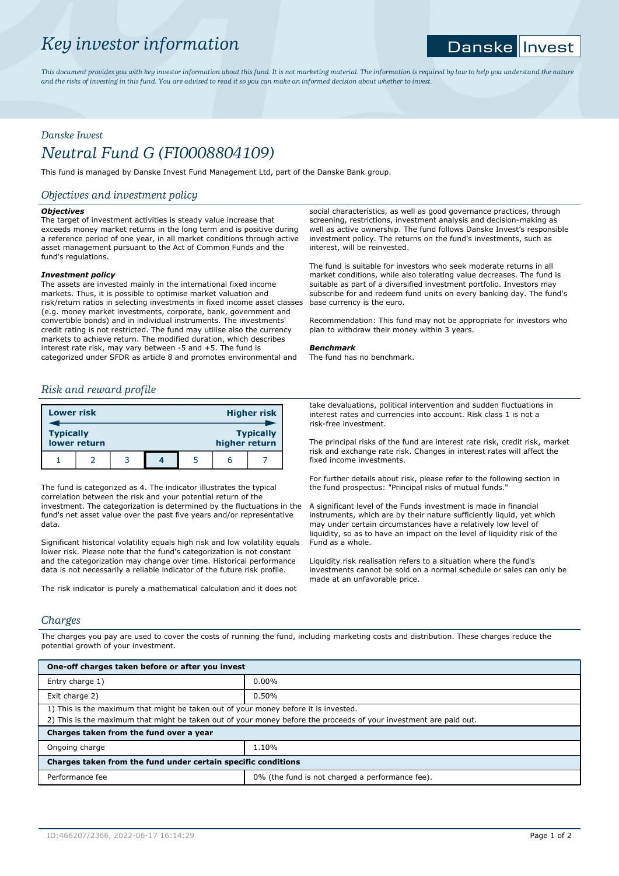# *Key investor information*

#### **Danske** Invest

*This document provides you with key investor information about this fund. It is not marketing material. The information is required by law to help you understand the nature and the risks of investing in this fund. You are advised to read it so you can make an informed decision about whether to invest.*

# *Danske Invest*

# *Neutral Fund G (FI0008804109)*

This fund is managed by Danske Invest Fund Management Ltd, part of the Danske Bank group.

# *Objectives and investment policy*

## *Objectives*

The target of investment activities is steady value increase that exceeds money market returns in the long term and is positive during a reference period of one year, in all market conditions through active asset management pursuant to the Act of Common Funds and the fund's regulations.

## *Investment policy*

The assets are invested mainly in the international fixed income markets. Thus, it is possible to optimise market valuation and risk/return ratios in selecting investments in fixed income asset classes (e.g. money market investments, corporate, bank, government and convertible bonds) and in individual instruments. The investments' credit rating is not restricted. The fund may utilise also the currency markets to achieve return. The modified duration, which describes interest rate risk, may vary between -5 and +5. The fund is categorized under SFDR as article 8 and promotes environmental and

## *Risk and reward profile*

| <b>Lower risk</b> |              |  |               | <b>Higher risk</b> |
|-------------------|--------------|--|---------------|--------------------|
| <b>Typically</b>  | lower return |  | higher return | <b>Typically</b>   |
|                   |              |  |               |                    |

The fund is categorized as 4. The indicator illustrates the typical correlation between the risk and your potential return of the investment. The categorization is determined by the fluctuations in the fund's net asset value over the past five years and/or representative data.

Significant historical volatility equals high risk and low volatility equals lower risk. Please note that the fund's categorization is not constant and the categorization may change over time. Historical performance data is not necessarily a reliable indicator of the future risk profile.

The risk indicator is purely a mathematical calculation and it does not

social characteristics, as well as good governance practices, through screening, restrictions, investment analysis and decision-making as well as active ownership. The fund follows Danske Invest's responsible investment policy. The returns on the fund's investments, such as interest, will be reinvested.

The fund is suitable for investors who seek moderate returns in all market conditions, while also tolerating value decreases. The fund is suitable as part of a diversified investment portfolio. Investors may subscribe for and redeem fund units on every banking day. The fund's base currency is the euro.

Recommendation: This fund may not be appropriate for investors who plan to withdraw their money within 3 years.

### *Benchmark*

The fund has no benchmark.

take devaluations, political intervention and sudden fluctuations in interest rates and currencies into account. Risk class 1 is not a risk-free investment.

The principal risks of the fund are interest rate risk, credit risk, market risk and exchange rate risk. Changes in interest rates will affect the fixed income investments.

For further details about risk, please refer to the following section in the fund prospectus: "Principal risks of mutual funds."

A significant level of the Funds investment is made in financial instruments, which are by their nature sufficiently liquid, yet which may under certain circumstances have a relatively low level of liquidity, so as to have an impact on the level of liquidity risk of the Fund as a whole.

Liquidity risk realisation refers to a situation where the fund's investments cannot be sold on a normal schedule or sales can only be made at an unfavorable price.

# *Charges*

The charges you pay are used to cover the costs of running the fund, including marketing costs and distribution. These charges reduce the potential growth of your investment.

| One-off charges taken before or after you invest                                                                                                                                                         |                                                 |  |  |  |
|----------------------------------------------------------------------------------------------------------------------------------------------------------------------------------------------------------|-------------------------------------------------|--|--|--|
| Entry charge 1)                                                                                                                                                                                          | $0.00\%$                                        |  |  |  |
| Exit charge 2)                                                                                                                                                                                           | 0.50%                                           |  |  |  |
| 1) This is the maximum that might be taken out of your money before it is invested.<br>2) This is the maximum that might be taken out of your money before the proceeds of your investment are paid out. |                                                 |  |  |  |
| Charges taken from the fund over a year                                                                                                                                                                  |                                                 |  |  |  |
| Ongoing charge                                                                                                                                                                                           | 1.10%                                           |  |  |  |
| Charges taken from the fund under certain specific conditions                                                                                                                                            |                                                 |  |  |  |
| Performance fee                                                                                                                                                                                          | 0% (the fund is not charged a performance fee). |  |  |  |